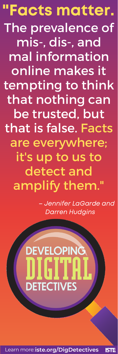The prevalence of mis-, dis-, and mal information online makes it tempting to think that nothing can be trusted, but that is false. Facts are everywhere; it's up to us to detect and amplify them." "Facts matter.

> – Jennifer LaGarde and Darren Hudgins



Learn more:**iste.org/DigDetectives**